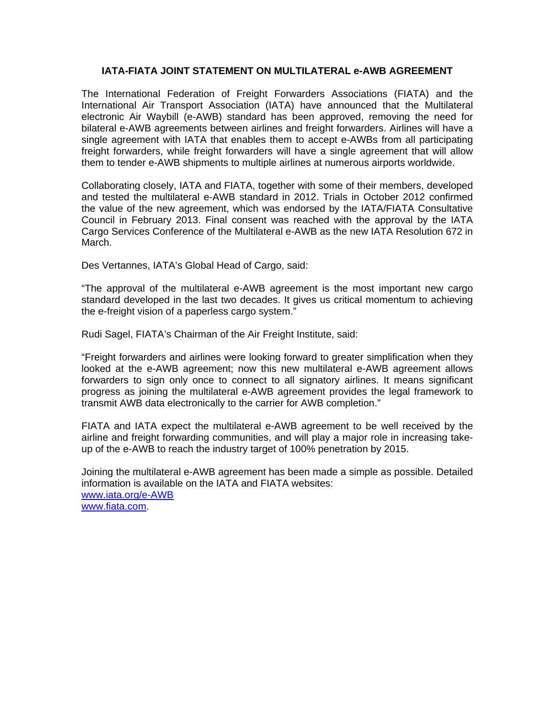## **IATA-FIATA JOINT STATEMENT ON MULTILATERAL e-AWB AGREEMENT**

The International Federation of Freight Forwarders Associations (FIATA) and the International Air Transport Association (IATA) have announced that the Multilateral electronic Air Waybill (e-AWB) standard has been approved, removing the need for bilateral e-AWB agreements between airlines and freight forwarders. Airlines will have a single agreement with IATA that enables them to accept e-AWBs from all participating freight forwarders, while freight forwarders will have a single agreement that will allow them to tender e-AWB shipments to multiple airlines at numerous airports worldwide.

Collaborating closely, IATA and FIATA, together with some of their members, developed and tested the multilateral e-AWB standard in 2012. Trials in October 2012 confirmed the value of the new agreement, which was endorsed by the IATA/FIATA Consultative Council in February 2013. Final consent was reached with the approval by the IATA Cargo Services Conference of the Multilateral e-AWB as the new IATA Resolution 672 in March.

Des Vertannes, IATA's Global Head of Cargo, said:

"The approval of the multilateral e-AWB agreement is the most important new cargo standard developed in the last two decades. It gives us critical momentum to achieving the e-freight vision of a paperless cargo system."

Rudi Sagel, FIATA's Chairman of the Air Freight Institute, said:

"Freight forwarders and airlines were looking forward to greater simplification when they looked at the e-AWB agreement; now this new multilateral e-AWB agreement allows forwarders to sign only once to connect to all signatory airlines. It means significant progress as joining the multilateral e-AWB agreement provides the legal framework to transmit AWB data electronically to the carrier for AWB completion."

FIATA and IATA expect the multilateral e-AWB agreement to be well received by the airline and freight forwarding communities, and will play a major role in increasing takeup of the e-AWB to reach the industry target of 100% penetration by 2015.

Joining the multilateral e-AWB agreement has been made a simple as possible. Detailed information is available on the IATA and FIATA websites: [www.iata.org/e-AWB](http://www.iata.org/e-AWB) [www.fiata.com](http://www.fiata.com/).